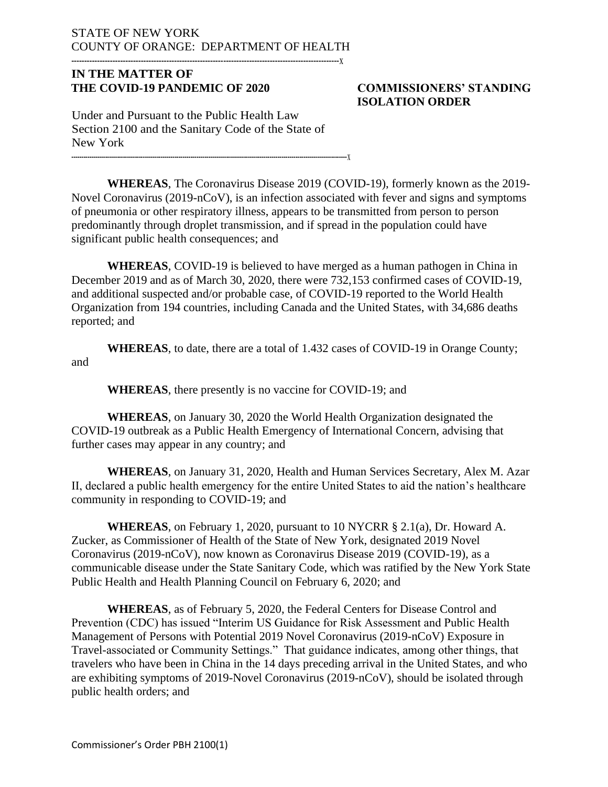## STATE OF NEW YORK COUNTY OF ORANGE: DEPARTMENT OF HEALTH

--------------------------------------------------------------------------------------------------------x

#### **IN THE MATTER OF THE COVID-19 PANDEMIC OF 2020 COMMISSIONERS' STANDING**

# **ISOLATION ORDER**

Under and Pursuant to the Public Health Law Section 2100 and the Sanitary Code of the State of New York

-------------------------------------------------------------------------------------------------------------------------------------------x

**WHEREAS**, The Coronavirus Disease 2019 (COVID-19), formerly known as the 2019- Novel Coronavirus (2019-nCoV), is an infection associated with fever and signs and symptoms of pneumonia or other respiratory illness, appears to be transmitted from person to person predominantly through droplet transmission, and if spread in the population could have significant public health consequences; and

**WHEREAS**, COVID-19 is believed to have merged as a human pathogen in China in December 2019 and as of March 30, 2020, there were 732,153 confirmed cases of COVID-19, and additional suspected and/or probable case, of COVID-19 reported to the World Health Organization from 194 countries, including Canada and the United States, with 34,686 deaths reported; and

**WHEREAS**, to date, there are a total of 1.432 cases of COVID-19 in Orange County; and

**WHEREAS**, there presently is no vaccine for COVID-19; and

**WHEREAS**, on January 30, 2020 the World Health Organization designated the COVID-19 outbreak as a Public Health Emergency of International Concern, advising that further cases may appear in any country; and

**WHEREAS**, on January 31, 2020, Health and Human Services Secretary, Alex M. Azar II, declared a public health emergency for the entire United States to aid the nation's healthcare community in responding to COVID-19; and

**WHEREAS**, on February 1, 2020, pursuant to 10 NYCRR  $\S$  2.1(a), Dr. Howard A. Zucker, as Commissioner of Health of the State of New York, designated 2019 Novel Coronavirus (2019-nCoV), now known as Coronavirus Disease 2019 (COVID-19), as a communicable disease under the State Sanitary Code, which was ratified by the New York State Public Health and Health Planning Council on February 6, 2020; and

**WHEREAS**, as of February 5, 2020, the Federal Centers for Disease Control and Prevention (CDC) has issued "Interim US Guidance for Risk Assessment and Public Health Management of Persons with Potential 2019 Novel Coronavirus (2019-nCoV) Exposure in Travel-associated or Community Settings." That guidance indicates, among other things, that travelers who have been in China in the 14 days preceding arrival in the United States, and who are exhibiting symptoms of 2019-Novel Coronavirus (2019-nCoV), should be isolated through public health orders; and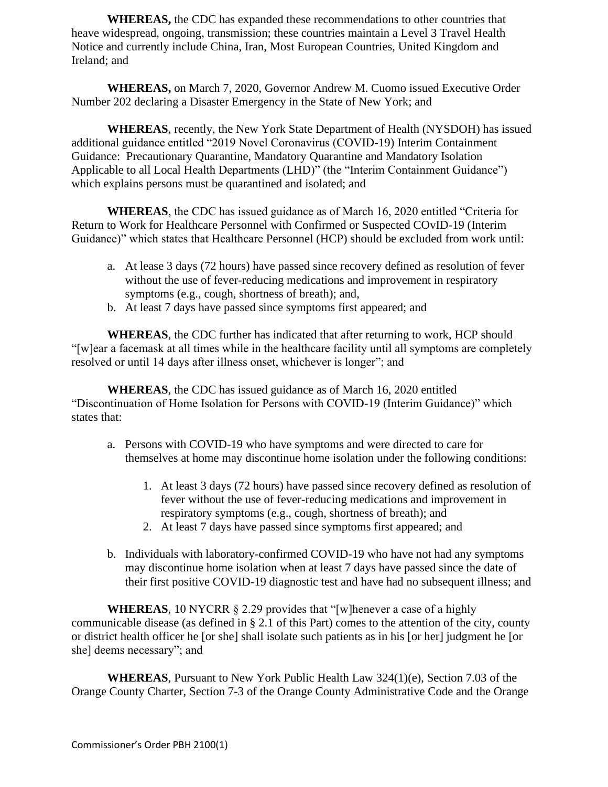**WHEREAS,** the CDC has expanded these recommendations to other countries that heave widespread, ongoing, transmission; these countries maintain a Level 3 Travel Health Notice and currently include China, Iran, Most European Countries, United Kingdom and Ireland; and

**WHEREAS,** on March 7, 2020, Governor Andrew M. Cuomo issued Executive Order Number 202 declaring a Disaster Emergency in the State of New York; and

**WHEREAS**, recently, the New York State Department of Health (NYSDOH) has issued additional guidance entitled "2019 Novel Coronavirus (COVID-19) Interim Containment Guidance: Precautionary Quarantine, Mandatory Quarantine and Mandatory Isolation Applicable to all Local Health Departments (LHD)" (the "Interim Containment Guidance") which explains persons must be quarantined and isolated; and

**WHEREAS**, the CDC has issued guidance as of March 16, 2020 entitled "Criteria for Return to Work for Healthcare Personnel with Confirmed or Suspected COvID-19 (Interim Guidance)" which states that Healthcare Personnel (HCP) should be excluded from work until:

- a. At lease 3 days (72 hours) have passed since recovery defined as resolution of fever without the use of fever-reducing medications and improvement in respiratory symptoms (e.g., cough, shortness of breath); and,
- b. At least 7 days have passed since symptoms first appeared; and

**WHEREAS**, the CDC further has indicated that after returning to work, HCP should "[w]ear a facemask at all times while in the healthcare facility until all symptoms are completely resolved or until 14 days after illness onset, whichever is longer"; and

**WHEREAS**, the CDC has issued guidance as of March 16, 2020 entitled "Discontinuation of Home Isolation for Persons with COVID-19 (Interim Guidance)" which states that:

- a. Persons with COVID-19 who have symptoms and were directed to care for themselves at home may discontinue home isolation under the following conditions:
	- 1. At least 3 days (72 hours) have passed since recovery defined as resolution of fever without the use of fever-reducing medications and improvement in respiratory symptoms (e.g., cough, shortness of breath); and
	- 2. At least 7 days have passed since symptoms first appeared; and
- b. Individuals with laboratory-confirmed COVID-19 who have not had any symptoms may discontinue home isolation when at least 7 days have passed since the date of their first positive COVID-19 diagnostic test and have had no subsequent illness; and

**WHEREAS**, 10 NYCRR § 2.29 provides that "[w]henever a case of a highly communicable disease (as defined in § 2.1 of this Part) comes to the attention of the city, county or district health officer he [or she] shall isolate such patients as in his [or her] judgment he [or she] deems necessary"; and

**WHEREAS**, Pursuant to New York Public Health Law 324(1)(e), Section 7.03 of the Orange County Charter, Section 7-3 of the Orange County Administrative Code and the Orange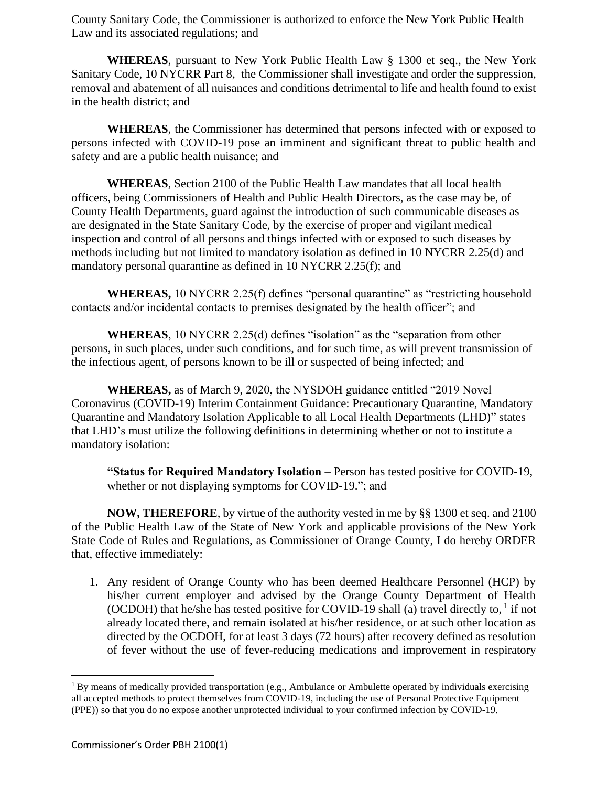County Sanitary Code, the Commissioner is authorized to enforce the New York Public Health Law and its associated regulations; and

**WHEREAS**, pursuant to New York Public Health Law § 1300 et seq., the New York Sanitary Code, 10 NYCRR Part 8, the Commissioner shall investigate and order the suppression, removal and abatement of all nuisances and conditions detrimental to life and health found to exist in the health district; and

**WHEREAS**, the Commissioner has determined that persons infected with or exposed to persons infected with COVID-19 pose an imminent and significant threat to public health and safety and are a public health nuisance; and

**WHEREAS**, Section 2100 of the Public Health Law mandates that all local health officers, being Commissioners of Health and Public Health Directors, as the case may be, of County Health Departments, guard against the introduction of such communicable diseases as are designated in the State Sanitary Code, by the exercise of proper and vigilant medical inspection and control of all persons and things infected with or exposed to such diseases by methods including but not limited to mandatory isolation as defined in 10 NYCRR 2.25(d) and mandatory personal quarantine as defined in 10 NYCRR 2.25(f); and

**WHEREAS,** 10 NYCRR 2.25(f) defines "personal quarantine" as "restricting household contacts and/or incidental contacts to premises designated by the health officer"; and

**WHEREAS**, 10 NYCRR 2.25(d) defines "isolation" as the "separation from other persons, in such places, under such conditions, and for such time, as will prevent transmission of the infectious agent, of persons known to be ill or suspected of being infected; and

**WHEREAS,** as of March 9, 2020, the NYSDOH guidance entitled "2019 Novel Coronavirus (COVID-19) Interim Containment Guidance: Precautionary Quarantine, Mandatory Quarantine and Mandatory Isolation Applicable to all Local Health Departments (LHD)" states that LHD's must utilize the following definitions in determining whether or not to institute a mandatory isolation:

**"Status for Required Mandatory Isolation** – Person has tested positive for COVID-19, whether or not displaying symptoms for COVID-19."; and

**NOW, THEREFORE**, by virtue of the authority vested in me by §§ 1300 et seq. and 2100 of the Public Health Law of the State of New York and applicable provisions of the New York State Code of Rules and Regulations, as Commissioner of Orange County, I do hereby ORDER that, effective immediately:

1. Any resident of Orange County who has been deemed Healthcare Personnel (HCP) by his/her current employer and advised by the Orange County Department of Health (OCDOH) that he/she has tested positive for COVID-19 shall (a) travel directly to,  $1$  if not already located there, and remain isolated at his/her residence, or at such other location as directed by the OCDOH, for at least 3 days (72 hours) after recovery defined as resolution of fever without the use of fever-reducing medications and improvement in respiratory

<sup>&</sup>lt;sup>1</sup> By means of medically provided transportation (e.g., Ambulance or Ambulette operated by individuals exercising all accepted methods to protect themselves from COVID-19, including the use of Personal Protective Equipment (PPE)) so that you do no expose another unprotected individual to your confirmed infection by COVID-19.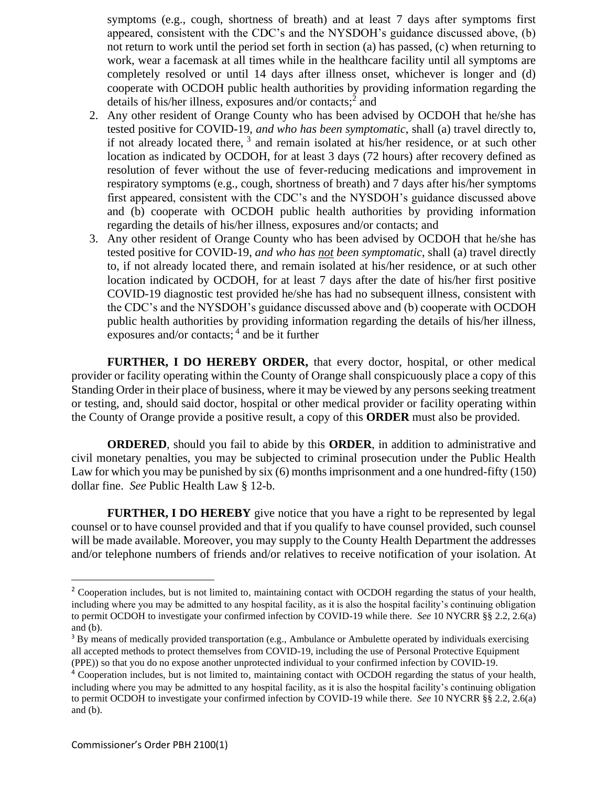symptoms (e.g., cough, shortness of breath) and at least 7 days after symptoms first appeared, consistent with the CDC's and the NYSDOH's guidance discussed above, (b) not return to work until the period set forth in section (a) has passed, (c) when returning to work, wear a facemask at all times while in the healthcare facility until all symptoms are completely resolved or until 14 days after illness onset, whichever is longer and (d) cooperate with OCDOH public health authorities by providing information regarding the details of his/her illness, exposures and/or contacts;<sup>2</sup> and

- 2. Any other resident of Orange County who has been advised by OCDOH that he/she has tested positive for COVID-19, *and who has been symptomatic*, shall (a) travel directly to, if not already located there,  $3$  and remain isolated at his/her residence, or at such other location as indicated by OCDOH, for at least 3 days (72 hours) after recovery defined as resolution of fever without the use of fever-reducing medications and improvement in respiratory symptoms (e.g., cough, shortness of breath) and 7 days after his/her symptoms first appeared, consistent with the CDC's and the NYSDOH's guidance discussed above and (b) cooperate with OCDOH public health authorities by providing information regarding the details of his/her illness, exposures and/or contacts; and
- 3. Any other resident of Orange County who has been advised by OCDOH that he/she has tested positive for COVID-19, *and who has not been symptomatic*, shall (a) travel directly to, if not already located there, and remain isolated at his/her residence, or at such other location indicated by OCDOH, for at least 7 days after the date of his/her first positive COVID-19 diagnostic test provided he/she has had no subsequent illness, consistent with the CDC's and the NYSDOH's guidance discussed above and (b) cooperate with OCDOH public health authorities by providing information regarding the details of his/her illness, exposures and/or contacts; <sup>4</sup> and be it further

**FURTHER, I DO HEREBY ORDER,** that every doctor, hospital, or other medical provider or facility operating within the County of Orange shall conspicuously place a copy of this Standing Order in their place of business, where it may be viewed by any persons seeking treatment or testing, and, should said doctor, hospital or other medical provider or facility operating within the County of Orange provide a positive result, a copy of this **ORDER** must also be provided.

**ORDERED**, should you fail to abide by this **ORDER**, in addition to administrative and civil monetary penalties, you may be subjected to criminal prosecution under the Public Health Law for which you may be punished by six (6) months imprisonment and a one hundred-fifty (150) dollar fine. *See* Public Health Law § 12-b.

**FURTHER, I DO HEREBY** give notice that you have a right to be represented by legal counsel or to have counsel provided and that if you qualify to have counsel provided, such counsel will be made available. Moreover, you may supply to the County Health Department the addresses and/or telephone numbers of friends and/or relatives to receive notification of your isolation. At

<sup>&</sup>lt;sup>2</sup> Cooperation includes, but is not limited to, maintaining contact with OCDOH regarding the status of your health, including where you may be admitted to any hospital facility, as it is also the hospital facility's continuing obligation to permit OCDOH to investigate your confirmed infection by COVID-19 while there. *See* 10 NYCRR §§ 2.2, 2.6(a) and (b).

<sup>&</sup>lt;sup>3</sup> By means of medically provided transportation (e.g., Ambulance or Ambulette operated by individuals exercising all accepted methods to protect themselves from COVID-19, including the use of Personal Protective Equipment (PPE)) so that you do no expose another unprotected individual to your confirmed infection by COVID-19.

<sup>4</sup> Cooperation includes, but is not limited to, maintaining contact with OCDOH regarding the status of your health, including where you may be admitted to any hospital facility, as it is also the hospital facility's continuing obligation to permit OCDOH to investigate your confirmed infection by COVID-19 while there. *See* 10 NYCRR §§ 2.2, 2.6(a) and (b).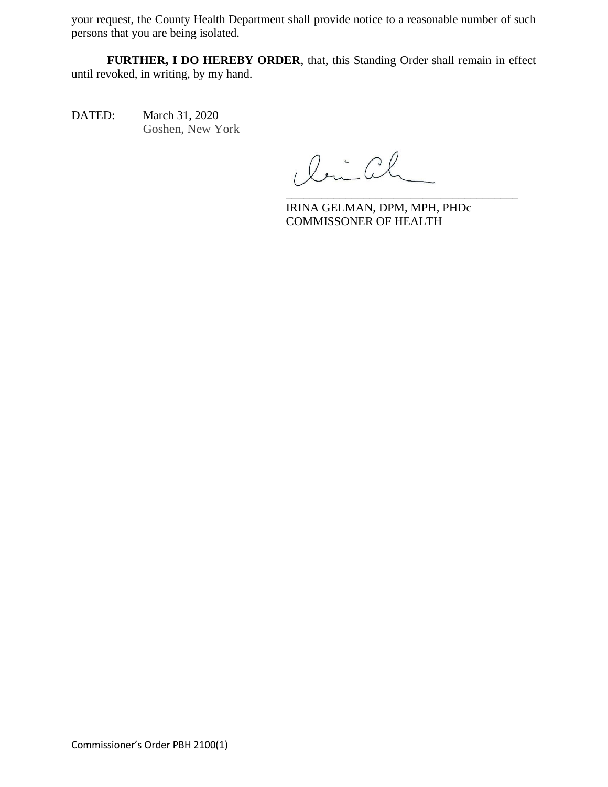your request, the County Health Department shall provide notice to a reasonable number of such persons that you are being isolated.

**FURTHER, I DO HEREBY ORDER**, that, this Standing Order shall remain in effect until revoked, in writing, by my hand.

DATED: March 31, 2020 Goshen, New York

lui Ch

IRINA GELMAN, DPM, MPH, PHDc COMMISSONER OF HEALTH

\_\_\_\_\_\_\_\_\_\_\_\_\_\_\_\_\_\_\_\_\_\_\_\_\_\_\_\_\_\_\_\_\_\_\_\_\_\_\_